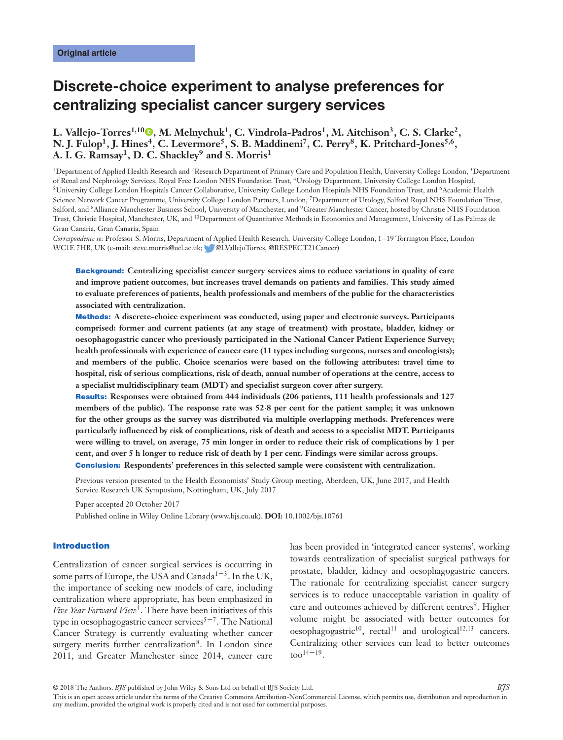# **Discrete-choice experiment to analyse preferences for centralizing specialist cancer surgery services**

# L. Vallejo-Torres<sup>1,1[0](http://orcid.org/0000-0001-5833-6066)</sup>**◎**, M. Melnychuk<sup>1</sup>, C. Vindrola-Padros<sup>1</sup>, M. Aitchison<sup>3</sup>, C. S. Clarke<sup>2</sup>, N. J. Fulop<sup>1</sup>, J. Hines<sup>4</sup>, C. Levermore<sup>5</sup>, S. B. Maddineni<sup>7</sup>, C. Perry<sup>8</sup>, K. Pritchard-Jones<sup>5,6</sup>, A. I. G. Ramsay<sup>1</sup>, D. C. Shackley<sup>9</sup> and S. Morris<sup>1</sup>

<sup>1</sup>Department of Applied Health Research and <sup>2</sup>Research Department of Primary Care and Population Health, University College London, <sup>3</sup>Department of Renal and Nephrology Services, Royal Free London NHS Foundation Trust, 4Urology Department, University College London Hospital, <sup>5</sup>University College London Hospitals Cancer Collaborative, University College London Hospitals NHS Foundation Trust, and <sup>6</sup>Academic Health Science Network Cancer Programme, University College London Partners, London, 7Department of Urology, Salford Royal NHS Foundation Trust, Salford, and 8Alliance Manchester Business School, University of Manchester, and 9Greater Manchester Cancer, hosted by Christie NHS Foundation Trust, Christie Hospital, Manchester, UK, and 10Department of Quantitative Methods in Economics and Management, University of Las Palmas de Gran Canaria, Gran Canaria, Spain

*Correspondence to:* Professor S. Morris, Department of Applied Health Research, University College London, 1–19 Torrington Place, London WC1E 7HB, UK (e-mail: steve.morris@ucl.ac.uk; @LVallejoTorres, @RESPECT21Cancer)

**Background: Centralizing specialist cancer surgery services aims to reduce variations in quality of care and improve patient outcomes, but increases travel demands on patients and families. This study aimed to evaluate preferences of patients, health professionals and members of the public for the characteristics associated with centralization.**

**Methods: A discrete-choice experiment was conducted, using paper and electronic surveys. Participants comprised: former and current patients (at any stage of treatment) with prostate, bladder, kidney or oesophagogastric cancer who previously participated in the National Cancer Patient Experience Survey; health professionals with experience of cancer care (11 types including surgeons, nurses and oncologists); and members of the public. Choice scenarios were based on the following attributes: travel time to hospital, risk of serious complications, risk of death, annual number of operations at the centre, access to a specialist multidisciplinary team (MDT) and specialist surgeon cover after surgery.**

**Results: Responses were obtained from 444 individuals (206 patients, 111 health professionals and 127 members of the public). The response rate was 52⋅8 per cent for the patient sample; it was unknown for the other groups as the survey was distributed via multiple overlapping methods. Preferences were particularly influenced by risk of complications, risk of death and access to a specialist MDT. Participants were willing to travel, on average, 75 min longer in order to reduce their risk of complications by 1 per cent, and over 5 h longer to reduce risk of death by 1 per cent. Findings were similar across groups. Conclusion: Respondents' preferences in this selected sample were consistent with centralization.**

Previous version presented to the Health Economists' Study Group meeting, Aberdeen, UK, June 2017, and Health Service Research UK Symposium, Nottingham, UK, July 2017

Paper accepted 20 October 2017

Published online in Wiley Online Library (www.bjs.co.uk). **DOI:** 10.1002/bjs.10761

### **Introduction**

Centralization of cancer surgical services is occurring in some parts of Europe, the USA and Canada<sup>1-3</sup>. In the UK, the importance of seeking new models of care, including centralization where appropriate, has been emphasized in *Five Year Forward View*4. There have been initiatives of this type in oesophagogastric cancer services<sup> $5-7$ </sup>. The National Cancer Strategy is currently evaluating whether cancer surgery merits further centralization<sup>8</sup>. In London since 2011, and Greater Manchester since 2014, cancer care has been provided in 'integrated cancer systems', working towards centralization of specialist surgical pathways for prostate, bladder, kidney and oesophagogastric cancers. The rationale for centralizing specialist cancer surgery services is to reduce unacceptable variation in quality of care and outcomes achieved by different centres<sup>9</sup>. Higher volume might be associated with better outcomes for oesophagogastric<sup>10</sup>, rectal<sup>11</sup> and urological<sup>12,13</sup> cancers. Centralizing other services can lead to better outcomes  $\frac{14-19}{2}$ .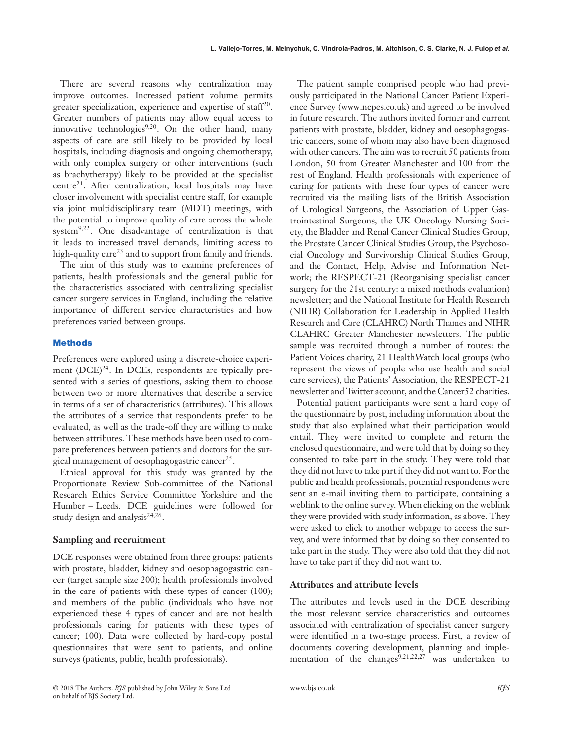There are several reasons why centralization may improve outcomes. Increased patient volume permits greater specialization, experience and expertise of staff<sup>20</sup>. Greater numbers of patients may allow equal access to innovative technologies<sup>9,20</sup>. On the other hand, many aspects of care are still likely to be provided by local hospitals, including diagnosis and ongoing chemotherapy, with only complex surgery or other interventions (such as brachytherapy) likely to be provided at the specialist centre21. After centralization, local hospitals may have closer involvement with specialist centre staff, for example via joint multidisciplinary team (MDT) meetings, with the potential to improve quality of care across the whole system9*,*22. One disadvantage of centralization is that it leads to increased travel demands, limiting access to high-quality care<sup>23</sup> and to support from family and friends.

The aim of this study was to examine preferences of patients, health professionals and the general public for the characteristics associated with centralizing specialist cancer surgery services in England, including the relative importance of different service characteristics and how preferences varied between groups.

#### **Methods**

Preferences were explored using a discrete-choice experiment (DCE)<sup>24</sup>. In DCEs, respondents are typically presented with a series of questions, asking them to choose between two or more alternatives that describe a service in terms of a set of characteristics (attributes). This allows the attributes of a service that respondents prefer to be evaluated, as well as the trade-off they are willing to make between attributes. These methods have been used to compare preferences between patients and doctors for the surgical management of oesophagogastric cancer<sup>25</sup>.

Ethical approval for this study was granted by the Proportionate Review Sub-committee of the National Research Ethics Service Committee Yorkshire and the Humber – Leeds. DCE guidelines were followed for study design and analysis24*,*26.

#### **Sampling and recruitment**

DCE responses were obtained from three groups: patients with prostate, bladder, kidney and oesophagogastric cancer (target sample size 200); health professionals involved in the care of patients with these types of cancer (100); and members of the public (individuals who have not experienced these 4 types of cancer and are not health professionals caring for patients with these types of cancer; 100). Data were collected by hard-copy postal questionnaires that were sent to patients, and online surveys (patients, public, health professionals).

The patient sample comprised people who had previously participated in the National Cancer Patient Experience Survey [\(www.ncpes.co.uk\)](http://www.ncpes.co.uk) and agreed to be involved in future research. The authors invited former and current patients with prostate, bladder, kidney and oesophagogastric cancers, some of whom may also have been diagnosed with other cancers. The aim was to recruit 50 patients from London, 50 from Greater Manchester and 100 from the rest of England. Health professionals with experience of caring for patients with these four types of cancer were recruited via the mailing lists of the British Association of Urological Surgeons, the Association of Upper Gastrointestinal Surgeons, the UK Oncology Nursing Society, the Bladder and Renal Cancer Clinical Studies Group, the Prostate Cancer Clinical Studies Group, the Psychosocial Oncology and Survivorship Clinical Studies Group, and the Contact, Help, Advise and Information Network; the RESPECT-21 (Reorganising specialist cancer surgery for the 21st century: a mixed methods evaluation) newsletter; and the National Institute for Health Research (NIHR) Collaboration for Leadership in Applied Health Research and Care (CLAHRC) North Thames and NIHR CLAHRC Greater Manchester newsletters. The public sample was recruited through a number of routes: the Patient Voices charity, 21 HealthWatch local groups (who represent the views of people who use health and social care services), the Patients' Association, the RESPECT-21 newsletter and Twitter account, and the Cancer52 charities.

Potential patient participants were sent a hard copy of the questionnaire by post, including information about the study that also explained what their participation would entail. They were invited to complete and return the enclosed questionnaire, and were told that by doing so they consented to take part in the study. They were told that they did not have to take part if they did not want to. For the public and health professionals, potential respondents were sent an e-mail inviting them to participate, containing a weblink to the online survey. When clicking on the weblink they were provided with study information, as above. They were asked to click to another webpage to access the survey, and were informed that by doing so they consented to take part in the study. They were also told that they did not have to take part if they did not want to.

## **Attributes and attribute levels**

The attributes and levels used in the DCE describing the most relevant service characteristics and outcomes associated with centralization of specialist cancer surgery were identified in a two-stage process. First, a review of documents covering development, planning and implementation of the changes<sup>9,21,22,27</sup> was undertaken to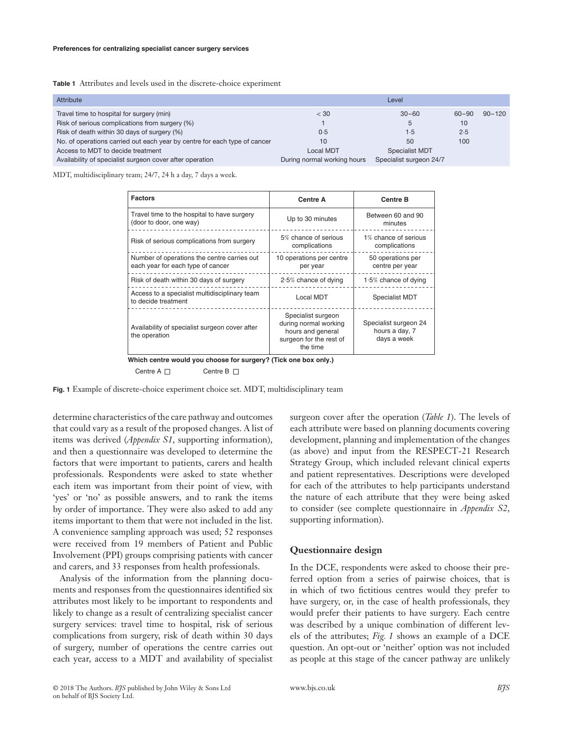**Table 1** Attributes and levels used in the discrete-choice experiment

| Attribute                                                                 |                             | Level                   |           |            |
|---------------------------------------------------------------------------|-----------------------------|-------------------------|-----------|------------|
| Travel time to hospital for surgery (min)                                 | $<$ 30                      | $30 - 60$               | $60 - 90$ | $90 - 120$ |
| Risk of serious complications from surgery (%)                            |                             | 5                       | 10        |            |
| Risk of death within 30 days of surgery (%)                               | 0.5                         | 1.5                     | 2.5       |            |
| No. of operations carried out each year by centre for each type of cancer | 10                          | 50                      | 100       |            |
| Access to MDT to decide treatment                                         | Local MDT                   | <b>Specialist MDT</b>   |           |            |
| Availability of specialist surgeon cover after operation                  | During normal working hours | Specialist surgeon 24/7 |           |            |

MDT, multidisciplinary team; 24/7, 24 h a day, 7 days a week.

| <b>Factors</b>                                                                   | <b>Centre A</b>                                                                                         | <b>Centre B</b>                                        |  |
|----------------------------------------------------------------------------------|---------------------------------------------------------------------------------------------------------|--------------------------------------------------------|--|
| Travel time to the hospital to have surgery<br>(door to door, one way)           | Up to 30 minutes                                                                                        | Between 60 and 90<br>minutes                           |  |
| Risk of serious complications from surgery                                       | 5% chance of serious<br>complications                                                                   | 1% chance of serious<br>complications                  |  |
| Number of operations the centre carries out<br>each year for each type of cancer | 10 operations per centre<br>per year                                                                    | 50 operations per<br>centre per year                   |  |
| Risk of death within 30 days of surgery                                          | $2.5\%$ chance of dying                                                                                 | $1.5\%$ chance of dying                                |  |
| Access to a specialist multidisciplinary team<br>to decide treatment             | Local MDT                                                                                               | Specialist MDT                                         |  |
| Availability of specialist surgeon cover after<br>the operation                  | Specialist surgeon<br>during normal working<br>hours and general<br>surgeon for the rest of<br>the time | Specialist surgeon 24<br>hours a day, 7<br>days a week |  |

**Which centre would you choose for surgery? (Tick one box only.)**

Centre A □ Centre B □

**Fig. 1** Example of discrete-choice experiment choice set. MDT, multidisciplinary team

determine characteristics of the care pathway and outcomes that could vary as a result of the proposed changes. A list of items was derived (*Appendix S1*, supporting information), and then a questionnaire was developed to determine the factors that were important to patients, carers and health professionals. Respondents were asked to state whether each item was important from their point of view, with 'yes' or 'no' as possible answers, and to rank the items by order of importance. They were also asked to add any items important to them that were not included in the list. A convenience sampling approach was used; 52 responses were received from 19 members of Patient and Public Involvement (PPI) groups comprising patients with cancer and carers, and 33 responses from health professionals.

Analysis of the information from the planning documents and responses from the questionnaires identified six attributes most likely to be important to respondents and likely to change as a result of centralizing specialist cancer surgery services: travel time to hospital, risk of serious complications from surgery, risk of death within 30 days of surgery, number of operations the centre carries out each year, access to a MDT and availability of specialist

surgeon cover after the operation (*Table 1*). The levels of each attribute were based on planning documents covering development, planning and implementation of the changes (as above) and input from the RESPECT-21 Research Strategy Group, which included relevant clinical experts and patient representatives. Descriptions were developed for each of the attributes to help participants understand the nature of each attribute that they were being asked to consider (see complete questionnaire in *Appendix S2*, supporting information).

## **Questionnaire design**

In the DCE, respondents were asked to choose their preferred option from a series of pairwise choices, that is in which of two fictitious centres would they prefer to have surgery, or, in the case of health professionals, they would prefer their patients to have surgery. Each centre was described by a unique combination of different levels of the attributes; *Fig. 1* shows an example of a DCE question. An opt-out or 'neither' option was not included as people at this stage of the cancer pathway are unlikely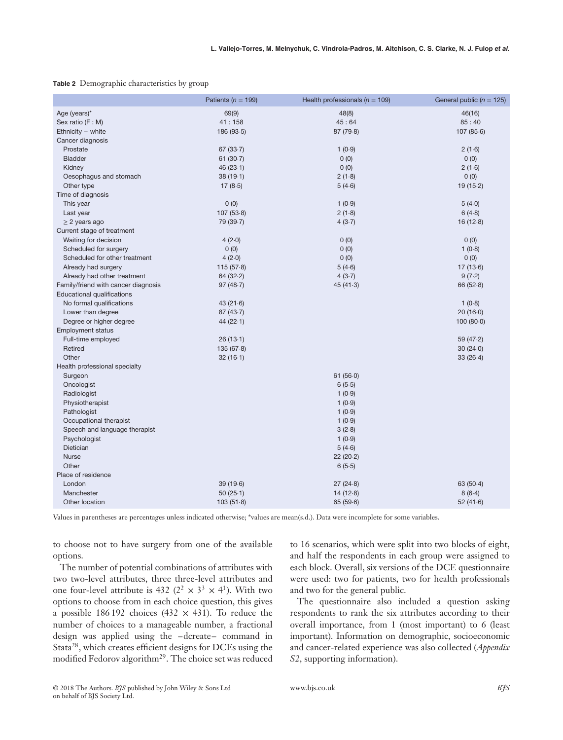|  |  | <b>Table 2</b> Demographic characteristics by group |  |  |
|--|--|-----------------------------------------------------|--|--|
|--|--|-----------------------------------------------------|--|--|

|                                     | Patients ( $n = 199$ ) | Health professionals ( $n = 109$ ) | General public ( $n = 125$ ) |
|-------------------------------------|------------------------|------------------------------------|------------------------------|
| Age (years)*                        | 69(9)                  | 48(8)                              | 46(16)                       |
| Sex ratio (F: M)                    | 41:158                 | 45:64                              | 85:40                        |
| Ethnicity - white                   | 186(93.5)              | 87(79.8)                           | 107(85.6)                    |
| Cancer diagnosis                    |                        |                                    |                              |
| Prostate                            | 67(33.7)               | 1(0.9)                             | 2(1.6)                       |
| <b>Bladder</b>                      | 61(30.7)               | 0(0)                               | 0(0)                         |
| Kidney                              | 46(23.1)               | 0(0)                               | 2(1.6)                       |
| Oesophagus and stomach              | 38(19.1)               | 2(1.8)                             | 0(0)                         |
| Other type                          | 17(8.5)                | 5(4.6)                             | 19(15.2)                     |
| Time of diagnosis                   |                        |                                    |                              |
| This year                           | 0(0)                   | 1(0.9)                             | 5(4.0)                       |
| Last year                           | 107(53.8)              | 2(1.8)                             | 6(4.8)                       |
| $\geq$ 2 years ago                  | 79 (39.7)              | 4(3.7)                             | 16(12.8)                     |
| Current stage of treatment          |                        |                                    |                              |
| Waiting for decision                | 4(2.0)                 | 0(0)                               | 0(0)                         |
| Scheduled for surgery               | 0(0)                   | 0(0)                               | 1(0.8)                       |
| Scheduled for other treatment       | 4(2.0)                 | 0(0)                               | 0(0)                         |
| Already had surgery                 | 115(57.8)              | 5(4.6)                             | 17(13.6)                     |
| Already had other treatment         | 64(32.2)               | 4(3.7)                             | 9(7.2)                       |
| Family/friend with cancer diagnosis | 97(48.7)               | 45(41.3)                           | 66(52.8)                     |
| <b>Educational qualifications</b>   |                        |                                    |                              |
| No formal qualifications            | 43 $(21.6)$            |                                    | 1(0.8)                       |
| Lower than degree                   | 87(43.7)               |                                    | 20(16.0)                     |
| Degree or higher degree             | 44 $(22.1)$            |                                    | 100(80.0)                    |
| <b>Employment status</b>            |                        |                                    |                              |
| Full-time employed                  | 26(13.1)               |                                    | 59 $(47.2)$                  |
| Retired                             | 135(67.8)              |                                    | 30(24.0)                     |
| Other                               | 32(16.1)               |                                    | 33(26.4)                     |
| Health professional specialty       |                        |                                    |                              |
| Surgeon                             |                        | 61(56.0)                           |                              |
| Oncologist                          |                        | 6(5.5)                             |                              |
| Radiologist                         |                        | 1(0.9)                             |                              |
| Physiotherapist                     |                        | 1(0.9)                             |                              |
| Pathologist                         |                        | 1(0.9)                             |                              |
| Occupational therapist              |                        | 1(0.9)                             |                              |
| Speech and language therapist       |                        | 3(2.8)                             |                              |
| Psychologist                        |                        | 1(0.9)                             |                              |
| <b>Dietician</b>                    |                        | 5(4.6)                             |                              |
| <b>Nurse</b>                        |                        | 22(20.2)                           |                              |
| Other                               |                        | 6(5.5)                             |                              |
| Place of residence                  |                        |                                    |                              |
| London                              | 39(19.6)               | 27(24.8)                           | 63(50.4)                     |
| Manchester                          | 50(25.1)               | 14(12.8)                           | 8(6.4)                       |
| Other location                      | 103(51.8)              | 65(59.6)                           | 52(41.6)                     |

Values in parentheses are percentages unless indicated otherwise; \*values are mean(s.d.). Data were incomplete for some variables.

to choose not to have surgery from one of the available options.

The number of potential combinations of attributes with two two-level attributes, three three-level attributes and one four-level attribute is 432 ( $2^2 \times 3^3 \times 4^1$ ). With two options to choose from in each choice question, this gives a possible 186 192 choices (432  $\times$  431). To reduce the number of choices to a manageable number, a fractional design was applied using the –dcreate– command in Stata28, which creates efficient designs for DCEs using the modified Fedorov algorithm<sup>29</sup>. The choice set was reduced

to 16 scenarios, which were split into two blocks of eight, and half the respondents in each group were assigned to each block. Overall, six versions of the DCE questionnaire were used: two for patients, two for health professionals and two for the general public.

The questionnaire also included a question asking respondents to rank the six attributes according to their overall importance, from 1 (most important) to 6 (least important). Information on demographic, socioeconomic and cancer-related experience was also collected (*Appendix S2*, supporting information).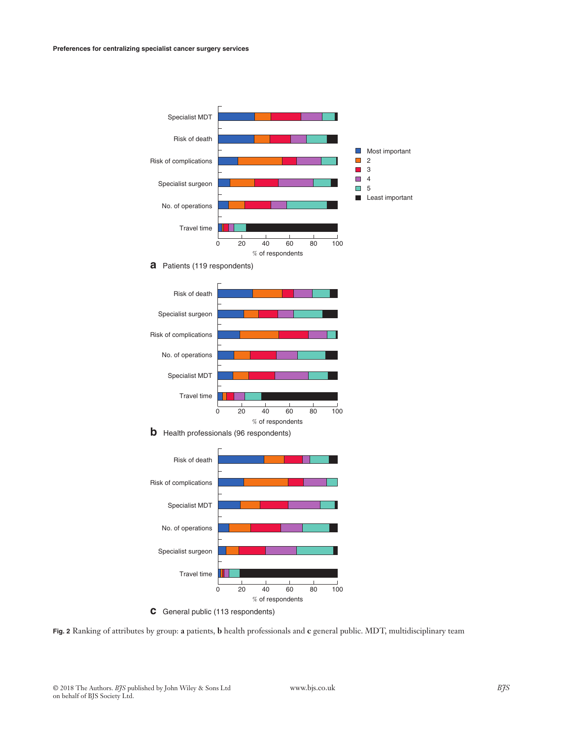

**a** Patients (119 respondents)







**c** General public (113 respondents)

**Fig. 2** Ranking of attributes by group: **a** patients, **b** health professionals and **c** general public. MDT, multidisciplinary team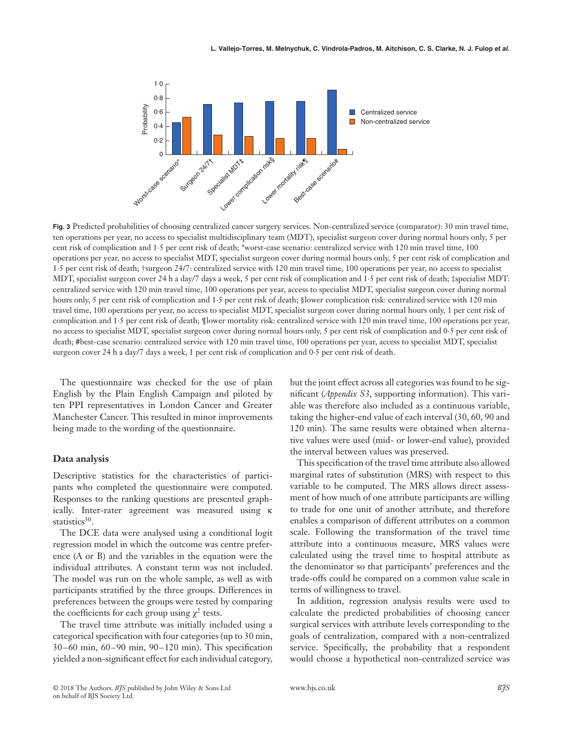

**Fig. 3** Predicted probabilities of choosing centralized cancer surgery services. Non-centralized service (comparator): 30 min travel time, ten operations per year, no access to specialist multidisciplinary team (MDT), specialist surgeon cover during normal hours only, 5 per cent risk of complication and 1⋅5 per cent risk of death; \*worst-case scenario: centralized service with 120 min travel time, 100 operations per year, no access to specialist MDT, specialist surgeon cover during normal hours only, 5 per cent risk of complication and 1⋅5 per cent risk of death; †surgeon 24/7: centralized service with 120 min travel time, 100 operations per year, no access to specialist MDT, specialist surgeon cover 24 h a day/7 days a week, 5 per cent risk of complication and 1⋅5 per cent risk of death; ‡specialist MDT: centralized service with 120 min travel time, 100 operations per year, access to specialist MDT, specialist surgeon cover during normal hours only, 5 per cent risk of complication and 1⋅5 per cent risk of death; §lower complication risk: centralized service with 120 min travel time, 100 operations per year, no access to specialist MDT, specialist surgeon cover during normal hours only, 1 per cent risk of complication and 1⋅5 per cent risk of death; ¶lower mortality risk: centralized service with 120 min travel time, 100 operations per year, no access to specialist MDT, specialist surgeon cover during normal hours only, 5 per cent risk of complication and 0⋅5 per cent risk of death; #best-case scenario: centralized service with 120 min travel time, 100 operations per year, access to specialist MDT, specialist surgeon cover 24 h a day/7 days a week, 1 per cent risk of complication and 0⋅5 per cent risk of death.

The questionnaire was checked for the use of plain English by the Plain English Campaign and piloted by ten PPI representatives in London Cancer and Greater Manchester Cancer. This resulted in minor improvements being made to the wording of the questionnaire.

#### **Data analysis**

Descriptive statistics for the characteristics of participants who completed the questionnaire were computed. Responses to the ranking questions are presented graphically. Inter-rater agreement was measured using κ statistics $30$ .

The DCE data were analysed using a conditional logit regression model in which the outcome was centre preference (A or B) and the variables in the equation were the individual attributes. A constant term was not included. The model was run on the whole sample, as well as with participants stratified by the three groups. Differences in preferences between the groups were tested by comparing the coefficients for each group using  $\chi^2$  tests.

The travel time attribute was initially included using a categorical specification with four categories (up to 30 min, 30–60 min, 60–90 min, 90–120 min). This specification yielded a non-significant effect for each individual category, but the joint effect across all categories was found to be significant (*Appendix S3*, supporting information). This variable was therefore also included as a continuous variable, taking the higher-end value of each interval (30, 60, 90 and 120 min). The same results were obtained when alternative values were used (mid- or lower-end value), provided the interval between values was preserved.

This specification of the travel time attribute also allowed marginal rates of substitution (MRS) with respect to this variable to be computed. The MRS allows direct assessment of how much of one attribute participants are willing to trade for one unit of another attribute, and therefore enables a comparison of different attributes on a common scale. Following the transformation of the travel time attribute into a continuous measure, MRS values were calculated using the travel time to hospital attribute as the denominator so that participants' preferences and the trade-offs could be compared on a common value scale in terms of willingness to travel.

In addition, regression analysis results were used to calculate the predicted probabilities of choosing cancer surgical services with attribute levels corresponding to the goals of centralization, compared with a non-centralized service. Specifically, the probability that a respondent would choose a hypothetical non-centralized service was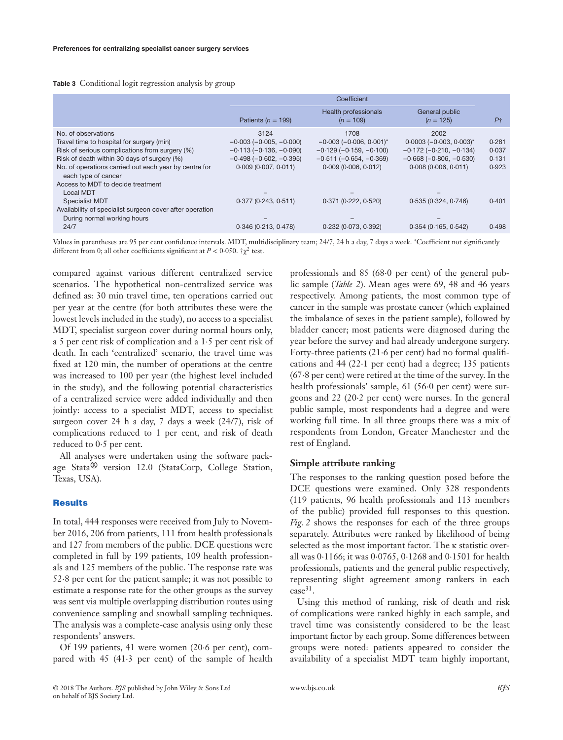|  | <b>Table 3</b> Conditional logit regression analysis by group |  |  |  |  |  |  |
|--|---------------------------------------------------------------|--|--|--|--|--|--|
|--|---------------------------------------------------------------|--|--|--|--|--|--|

|                                                                                                                                                                   | Coefficient                                                                                              |                                                                                                  |                                                                                                            |                         |  |
|-------------------------------------------------------------------------------------------------------------------------------------------------------------------|----------------------------------------------------------------------------------------------------------|--------------------------------------------------------------------------------------------------|------------------------------------------------------------------------------------------------------------|-------------------------|--|
|                                                                                                                                                                   | Patients ( $n = 199$ )                                                                                   | Health professionals<br>$(n = 109)$                                                              | General public<br>$(n = 125)$                                                                              | $P_{\perp}$             |  |
| No. of observations<br>Travel time to hospital for surgery (min)<br>Risk of serious complications from surgery (%)<br>Risk of death within 30 days of surgery (%) | 3124<br>$-0.003$ ( $-0.005$ , $-0.000$ )<br>$-0.113(-0.136, -0.090)$<br>$-0.498$ ( $-0.602$ , $-0.395$ ) | 1708<br>$-0.003$ ( $-0.006$ , $0.001$ )*<br>$-0.129(-0.159, -0.100)$<br>$-0.511(-0.654, -0.369)$ | 2002<br>$0.0003 (-0.003, 0.003)^*$<br>$-0.172$ ( $-0.210$ , $-0.134$ )<br>$-0.668$ ( $-0.806$ , $-0.530$ ) | 0.281<br>0.037<br>0.131 |  |
| No. of operations carried out each year by centre for<br>each type of cancer<br>Access to MDT to decide treatment<br>Local MDT                                    | 0.009(0.007, 0.011)                                                                                      | 0.009(0.006, 0.012)                                                                              | 0.008(0.006, 0.011)                                                                                        | 0.923                   |  |
| <b>Specialist MDT</b><br>Availability of specialist surgeon cover after operation<br>During normal working hours<br>24/7                                          | 0.377(0.243, 0.511)<br>0.346(0.213, 0.478)                                                               | 0.371(0.222, 0.520)<br>0.232(0.073, 0.392)                                                       | 0.535(0.324, 0.746)<br>0.354(0.165, 0.542)                                                                 | 0.401<br>0.498          |  |
|                                                                                                                                                                   |                                                                                                          |                                                                                                  |                                                                                                            |                         |  |

Values in parentheses are 95 per cent confidence intervals. MDT, multidisciplinary team; 24/7, 24 h a day, 7 days a week. \*Coefficient not significantly different from 0; all other coefficients significant at  $P < 0.050$ .  $\frac{1}{4}\chi^2$  test.

compared against various different centralized service scenarios. The hypothetical non-centralized service was defined as: 30 min travel time, ten operations carried out per year at the centre (for both attributes these were the lowest levels included in the study), no access to a specialist MDT, specialist surgeon cover during normal hours only, a 5 per cent risk of complication and a 1⋅5 per cent risk of death. In each 'centralized' scenario, the travel time was fixed at 120 min, the number of operations at the centre was increased to 100 per year (the highest level included in the study), and the following potential characteristics of a centralized service were added individually and then jointly: access to a specialist MDT, access to specialist surgeon cover 24 h a day, 7 days a week (24/7), risk of complications reduced to 1 per cent, and risk of death reduced to 0⋅5 per cent.

All analyses were undertaken using the software package Stata® version 12.0 (StataCorp, College Station, Texas, USA).

#### **Results**

In total, 444 responses were received from July to November 2016, 206 from patients, 111 from health professionals and 127 from members of the public. DCE questions were completed in full by 199 patients, 109 health professionals and 125 members of the public. The response rate was 52⋅8 per cent for the patient sample; it was not possible to estimate a response rate for the other groups as the survey was sent via multiple overlapping distribution routes using convenience sampling and snowball sampling techniques. The analysis was a complete-case analysis using only these respondents' answers.

Of 199 patients, 41 were women (20⋅6 per cent), compared with 45 (41⋅3 per cent) of the sample of health

professionals and 85 (68⋅0 per cent) of the general public sample (*Table 2*). Mean ages were 69, 48 and 46 years respectively. Among patients, the most common type of cancer in the sample was prostate cancer (which explained the imbalance of sexes in the patient sample), followed by bladder cancer; most patients were diagnosed during the year before the survey and had already undergone surgery. Forty-three patients (21⋅6 per cent) had no formal qualifications and 44 (22⋅1 per cent) had a degree; 135 patients (67⋅8 per cent) were retired at the time of the survey. In the health professionals' sample, 61 (56⋅0 per cent) were surgeons and 22 (20⋅2 per cent) were nurses. In the general public sample, most respondents had a degree and were working full time. In all three groups there was a mix of respondents from London, Greater Manchester and the rest of England.

#### **Simple attribute ranking**

The responses to the ranking question posed before the DCE questions were examined. Only 328 respondents (119 patients, 96 health professionals and 113 members of the public) provided full responses to this question. *Fig*. *2* shows the responses for each of the three groups separately. Attributes were ranked by likelihood of being selected as the most important factor. The κ statistic overall was 0⋅1166; it was 0⋅0765, 0⋅1268 and 0⋅1501 for health professionals, patients and the general public respectively, representing slight agreement among rankers in each  $case^{31}$ .

Using this method of ranking, risk of death and risk of complications were ranked highly in each sample, and travel time was consistently considered to be the least important factor by each group. Some differences between groups were noted: patients appeared to consider the availability of a specialist MDT team highly important,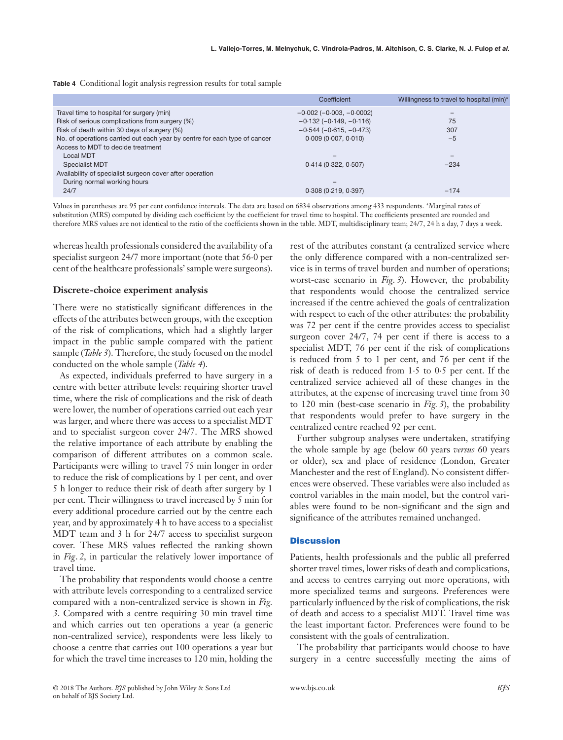|  | <b>Table 4</b> Conditional logit analysis regression results for total sample |  |  |  |  |  |  |
|--|-------------------------------------------------------------------------------|--|--|--|--|--|--|
|--|-------------------------------------------------------------------------------|--|--|--|--|--|--|

| Coefficient                       | Willingness to travel to hospital (min)* |
|-----------------------------------|------------------------------------------|
| $-0.002$ ( $-0.003$ , $-0.0002$ ) |                                          |
| $-0.132$ ( $-0.149$ , $-0.116$ )  | 75                                       |
| $-0.544 (-0.615, -0.473)$         | 307                                      |
| 0.009(0.007, 0.010)               | $-5$                                     |
|                                   |                                          |
|                                   |                                          |
| 0.414(0.322, 0.507)               | $-234$                                   |
|                                   |                                          |
|                                   |                                          |
| 0.308(0.219, 0.397)               | $-174$                                   |
|                                   |                                          |

Values in parentheses are 95 per cent confidence intervals. The data are based on 6834 observations among 433 respondents. \*Marginal rates of substitution (MRS) computed by dividing each coefficient by the coefficient for travel time to hospital. The coefficients presented are rounded and therefore MRS values are not identical to the ratio of the coefficients shown in the table. MDT, multidisciplinary team; 24/7, 24 h a day, 7 days a week.

whereas health professionals considered the availability of a specialist surgeon 24/7 more important (note that 56 $\cdot$ 0 per cent of the healthcare professionals' sample were surgeons).

#### **Discrete-choice experiment analysis**

There were no statistically significant differences in the effects of the attributes between groups, with the exception of the risk of complications, which had a slightly larger impact in the public sample compared with the patient sample (*Table 3*). Therefore, the study focused on the model conducted on the whole sample (*Table 4*).

As expected, individuals preferred to have surgery in a centre with better attribute levels: requiring shorter travel time, where the risk of complications and the risk of death were lower, the number of operations carried out each year was larger, and where there was access to a specialist MDT and to specialist surgeon cover 24/7. The MRS showed the relative importance of each attribute by enabling the comparison of different attributes on a common scale. Participants were willing to travel 75 min longer in order to reduce the risk of complications by 1 per cent, and over 5 h longer to reduce their risk of death after surgery by 1 per cent. Their willingness to travel increased by 5 min for every additional procedure carried out by the centre each year, and by approximately 4 h to have access to a specialist MDT team and 3 h for 24/7 access to specialist surgeon cover. These MRS values reflected the ranking shown in *Fig*. *2*, in particular the relatively lower importance of travel time.

The probability that respondents would choose a centre with attribute levels corresponding to a centralized service compared with a non-centralized service is shown in *Fig. 3*. Compared with a centre requiring 30 min travel time and which carries out ten operations a year (a generic non-centralized service), respondents were less likely to choose a centre that carries out 100 operations a year but for which the travel time increases to 120 min, holding the

rest of the attributes constant (a centralized service where the only difference compared with a non-centralized service is in terms of travel burden and number of operations; worst-case scenario in *Fig. 3*). However, the probability that respondents would choose the centralized service increased if the centre achieved the goals of centralization with respect to each of the other attributes: the probability was 72 per cent if the centre provides access to specialist surgeon cover 24/7, 74 per cent if there is access to a specialist MDT, 76 per cent if the risk of complications is reduced from 5 to 1 per cent, and 76 per cent if the risk of death is reduced from 1⋅5 to 0⋅5 per cent. If the centralized service achieved all of these changes in the attributes, at the expense of increasing travel time from 30 to 120 min (best-case scenario in *Fig. 3*), the probability that respondents would prefer to have surgery in the centralized centre reached 92 per cent.

Further subgroup analyses were undertaken, stratifying the whole sample by age (below 60 years *versus* 60 years or older), sex and place of residence (London, Greater Manchester and the rest of England). No consistent differences were observed. These variables were also included as control variables in the main model, but the control variables were found to be non-significant and the sign and significance of the attributes remained unchanged.

#### **Discussion**

Patients, health professionals and the public all preferred shorter travel times, lower risks of death and complications, and access to centres carrying out more operations, with more specialized teams and surgeons. Preferences were particularly influenced by the risk of complications, the risk of death and access to a specialist MDT. Travel time was the least important factor. Preferences were found to be consistent with the goals of centralization.

The probability that participants would choose to have surgery in a centre successfully meeting the aims of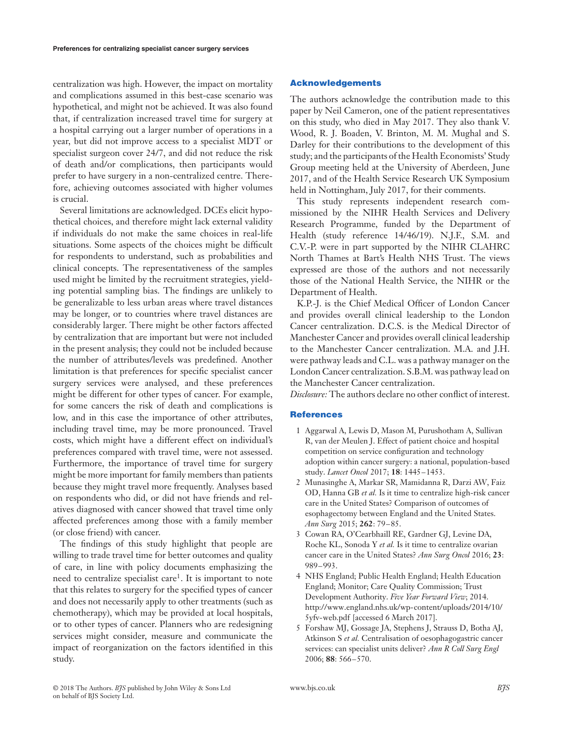# centralization was high. However, the impact on mortality and complications assumed in this best-case scenario was hypothetical, and might not be achieved. It was also found that, if centralization increased travel time for surgery at a hospital carrying out a larger number of operations in a year, but did not improve access to a specialist MDT or specialist surgeon cover 24/7, and did not reduce the risk of death and/or complications, then participants would prefer to have surgery in a non-centralized centre. Therefore, achieving outcomes associated with higher volumes is crucial.

Several limitations are acknowledged. DCEs elicit hypothetical choices, and therefore might lack external validity if individuals do not make the same choices in real-life situations. Some aspects of the choices might be difficult for respondents to understand, such as probabilities and clinical concepts. The representativeness of the samples used might be limited by the recruitment strategies, yielding potential sampling bias. The findings are unlikely to be generalizable to less urban areas where travel distances may be longer, or to countries where travel distances are considerably larger. There might be other factors affected by centralization that are important but were not included in the present analysis; they could not be included because the number of attributes/levels was predefined. Another limitation is that preferences for specific specialist cancer surgery services were analysed, and these preferences might be different for other types of cancer. For example, for some cancers the risk of death and complications is low, and in this case the importance of other attributes, including travel time, may be more pronounced. Travel costs, which might have a different effect on individual's preferences compared with travel time, were not assessed. Furthermore, the importance of travel time for surgery might be more important for family members than patients because they might travel more frequently. Analyses based on respondents who did, or did not have friends and relatives diagnosed with cancer showed that travel time only affected preferences among those with a family member (or close friend) with cancer.

The findings of this study highlight that people are willing to trade travel time for better outcomes and quality of care, in line with policy documents emphasizing the need to centralize specialist care<sup>1</sup>. It is important to note that this relates to surgery for the specified types of cancer and does not necessarily apply to other treatments (such as chemotherapy), which may be provided at local hospitals, or to other types of cancer. Planners who are redesigning services might consider, measure and communicate the impact of reorganization on the factors identified in this study.

#### **Acknowledgements**

The authors acknowledge the contribution made to this paper by Neil Cameron, one of the patient representatives on this study, who died in May 2017. They also thank V. Wood, R. J. Boaden, V. Brinton, M. M. Mughal and S. Darley for their contributions to the development of this study; and the participants of the Health Economists' Study Group meeting held at the University of Aberdeen, June 2017, and of the Health Service Research UK Symposium held in Nottingham, July 2017, for their comments.

This study represents independent research commissioned by the NIHR Health Services and Delivery Research Programme, funded by the Department of Health (study reference 14/46/19). N.J.F., S.M. and C.V.-P. were in part supported by the NIHR CLAHRC North Thames at Bart's Health NHS Trust. The views expressed are those of the authors and not necessarily those of the National Health Service, the NIHR or the Department of Health.

K.P.-J. is the Chief Medical Officer of London Cancer and provides overall clinical leadership to the London Cancer centralization. D.C.S. is the Medical Director of Manchester Cancer and provides overall clinical leadership to the Manchester Cancer centralization. M.A. and J.H. were pathway leads and C.L. was a pathway manager on the London Cancer centralization. S.B.M. was pathway lead on the Manchester Cancer centralization.

*Disclosure:* The authors declare no other conflict of interest.

#### **References**

- 1 Aggarwal A, Lewis D, Mason M, Purushotham A, Sullivan R, van der Meulen J. Effect of patient choice and hospital competition on service configuration and technology adoption within cancer surgery: a national, population-based study. *Lancet Oncol* 2017; **18**: 1445–1453.
- 2 Munasinghe A, Markar SR, Mamidanna R, Darzi AW, Faiz OD, Hanna GB *et al.* Is it time to centralize high-risk cancer care in the United States? Comparison of outcomes of esophagectomy between England and the United States. *Ann Surg* 2015; **262**: 79–85.
- 3 Cowan RA, O'Cearbhaill RE, Gardner GJ, Levine DA, Roche KL, Sonoda Y *et al.* Is it time to centralize ovarian cancer care in the United States? *Ann Surg Oncol* 2016; **23**: 989–993.
- 4 NHS England; Public Health England; Health Education England; Monitor; Care Quality Commission; Trust Development Authority. *Five Year Forward View*; 2014. [http://www.england.nhs.uk/wp-content/uploads/2014/10/](http://www.england.nhs.uk/wp-content/uploads/2014/10/5yfv-web.pdf) [5yfv-web.pdf](http://www.england.nhs.uk/wp-content/uploads/2014/10/5yfv-web.pdf) [accessed 6 March 2017].
- 5 Forshaw MJ, Gossage JA, Stephens J, Strauss D, Botha AJ, Atkinson S *et al.* Centralisation of oesophagogastric cancer services: can specialist units deliver? *Ann R Coll Surg Engl* 2006; **88**: 566–570.